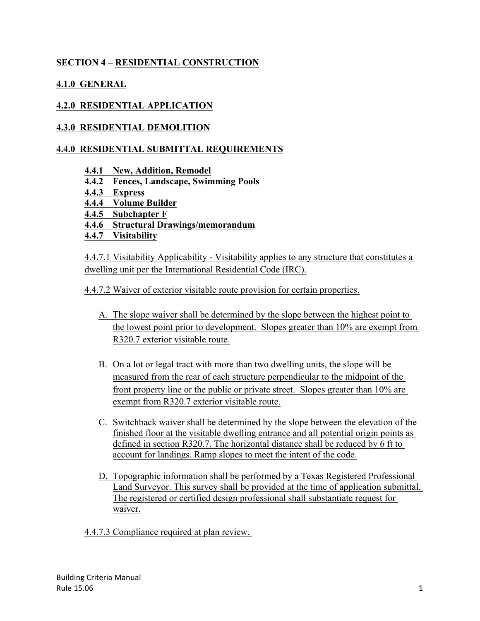# **SECTION 4 – RESIDENTIAL CONSTRUCTION**

# **4.1.0 GENERAL**

# **4.2.0 RESIDENTIAL APPLICATION**

## **4.3.0 RESIDENTIAL DEMOLITION**

## **4.4.0 RESIDENTIAL SUBMITTAL REQUIREMENTS**

- **4.4.1 New, Addition, Remodel**
- **4.4.2 Fences, Landscape, Swimming Pools**
- **4.4.3 Express**
- **4.4.4 Volume Builder**
- **4.4.5 Subchapter F**
- **4.4.6 Structural Drawings/memorandum**
- **4.4.7 Visitability**

4.4.7.1 Visitability Applicability - Visitability applies to any structure that constitutes a dwelling unit per the International Residential Code (IRC).

4.4.7.2 Waiver of exterior visitable route provision for certain properties.

- A. The slope waiver shall be determined by the slope between the highest point to the lowest point prior to development. Slopes greater than 10% are exempt from R320.7 exterior visitable route.
- B. On a lot or legal tract with more than two dwelling units, the slope will be measured from the rear of each structure perpendicular to the midpoint of the front property line or the public or private street. Slopes greater than 10% are exempt from R320.7 exterior visitable route.
- C. Switchback waiver shall be determined by the slope between the elevation of the finished floor at the visitable dwelling entrance and all potential origin points as defined in section R320.7. The horizontal distance shall be reduced by 6 ft to account for landings. Ramp slopes to meet the intent of the code.
- D. Topographic information shall be performed by a Texas Registered Professional Land Surveyor. This survey shall be provided at the time of application submittal. The registered or certified design professional shall substantiate request for waiver.
- 4.4.7.3 Compliance required at plan review.